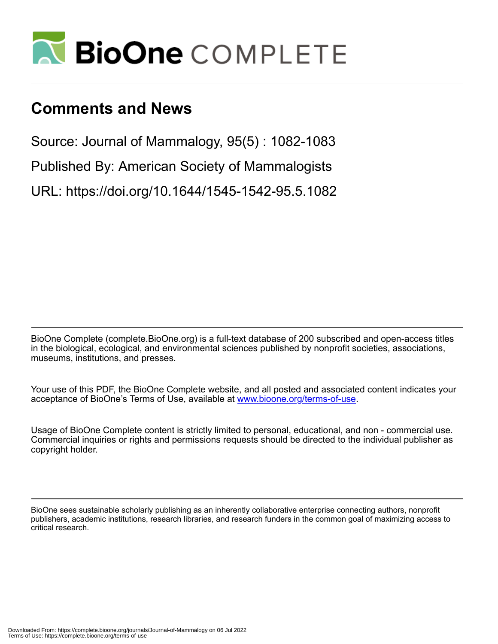

# **Comments and News**

Source: Journal of Mammalogy, 95(5) : 1082-1083

Published By: American Society of Mammalogists

URL: https://doi.org/10.1644/1545-1542-95.5.1082

BioOne Complete (complete.BioOne.org) is a full-text database of 200 subscribed and open-access titles in the biological, ecological, and environmental sciences published by nonprofit societies, associations, museums, institutions, and presses.

Your use of this PDF, the BioOne Complete website, and all posted and associated content indicates your acceptance of BioOne's Terms of Use, available at www.bioone.org/terms-of-use.

Usage of BioOne Complete content is strictly limited to personal, educational, and non - commercial use. Commercial inquiries or rights and permissions requests should be directed to the individual publisher as copyright holder.

BioOne sees sustainable scholarly publishing as an inherently collaborative enterprise connecting authors, nonprofit publishers, academic institutions, research libraries, and research funders in the common goal of maximizing access to critical research.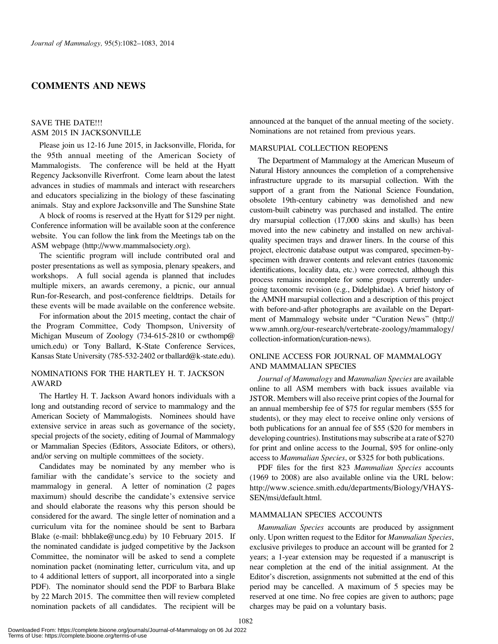# COMMENTS AND NEWS

#### SAVE THE DATE!!! ASM 2015 IN JACKSONVILLE

Please join us 12-16 June 2015, in Jacksonville, Florida, for the 95th annual meeting of the American Society of Mammalogists. The conference will be held at the Hyatt Regency Jacksonville Riverfront. Come learn about the latest advances in studies of mammals and interact with researchers and educators specializing in the biology of these fascinating animals. Stay and explore Jacksonville and The Sunshine State

A block of rooms is reserved at the Hyatt for \$129 per night. Conference information will be available soon at the conference website. You can follow the link from the Meetings tab on the ASM webpage (http://www.mammalsociety.org).

The scientific program will include contributed oral and poster presentations as well as symposia, plenary speakers, and workshops. A full social agenda is planned that includes multiple mixers, an awards ceremony, a picnic, our annual Run-for-Research, and post-conference fieldtrips. Details for these events will be made available on the conference website.

For information about the 2015 meeting, contact the chair of the Program Committee, Cody Thompson, University of Michigan Museum of Zoology (734-615-2810 or cwthomp@ umich.edu) or Tony Ballard, K-State Conference Services, Kansas State University (785-532-2402 or tballard@k-state.edu).

## NOMINATIONS FOR THE HARTLEY H. T. JACKSON AWARD

The Hartley H. T. Jackson Award honors individuals with a long and outstanding record of service to mammalogy and the American Society of Mammalogists. Nominees should have extensive service in areas such as governance of the society, special projects of the society, editing of Journal of Mammalogy or Mammalian Species (Editors, Associate Editors, or others), and/or serving on multiple committees of the society.

Candidates may be nominated by any member who is familiar with the candidate's service to the society and mammalogy in general. A letter of nomination (2 pages maximum) should describe the candidate's extensive service and should elaborate the reasons why this person should be considered for the award. The single letter of nomination and a curriculum vita for the nominee should be sent to Barbara Blake (e-mail: bhblake@uncg.edu) by 10 February 2015. If the nominated candidate is judged competitive by the Jackson Committee, the nominator will be asked to send a complete nomination packet (nominating letter, curriculum vita, and up to 4 additional letters of support, all incorporated into a single PDF). The nominator should send the PDF to Barbara Blake by 22 March 2015. The committee then will review completed nomination packets of all candidates. The recipient will be

announced at the banquet of the annual meeting of the society. Nominations are not retained from previous years.

## MARSUPIAL COLLECTION REOPENS

The Department of Mammalogy at the American Museum of Natural History announces the completion of a comprehensive infrastructure upgrade to its marsupial collection. With the support of a grant from the National Science Foundation, obsolete 19th-century cabinetry was demolished and new custom-built cabinetry was purchased and installed. The entire dry marsupial collection (17,000 skins and skulls) has been moved into the new cabinetry and installed on new archivalquality specimen trays and drawer liners. In the course of this project, electronic database output was compared, specimen-byspecimen with drawer contents and relevant entries (taxonomic identifications, locality data, etc.) were corrected, although this process remains incomplete for some groups currently undergoing taxonomic revision (e.g., Didelphidae). A brief history of the AMNH marsupial collection and a description of this project with before-and-after photographs are available on the Department of Mammalogy website under ''Curation News'' (http:// www.amnh.org/our-research/vertebrate-zoology/mammalogy/ collection-information/curation-news).

## ONLINE ACCESS FOR JOURNAL OF MAMMALOGY AND MAMMALIAN SPECIES

Journal of Mammalogy and Mammalian Species are available online to all ASM members with back issues available via JSTOR. Members will also receive print copies of the Journal for an annual membership fee of \$75 for regular members (\$55 for students), or they may elect to receive online only versions of both publications for an annual fee of \$55 (\$20 for members in developing countries). Institutions may subscribe at a rate of \$270 for print and online access to the Journal, \$95 for online-only access to Mammalian Species, or \$325 for both publications.

PDF files for the first 823 Mammalian Species accounts (1969 to 2008) are also available online via the URL below: http://www.science.smith.edu/departments/Biology/VHAYS-SEN/msi/default.html.

#### MAMMALIAN SPECIES ACCOUNTS

Mammalian Species accounts are produced by assignment only. Upon written request to the Editor for Mammalian Species, exclusive privileges to produce an account will be granted for 2 years; a 1-year extension may be requested if a manuscript is near completion at the end of the initial assignment. At the Editor's discretion, assignments not submitted at the end of this period may be cancelled. A maximum of 5 species may be reserved at one time. No free copies are given to authors; page charges may be paid on a voluntary basis.